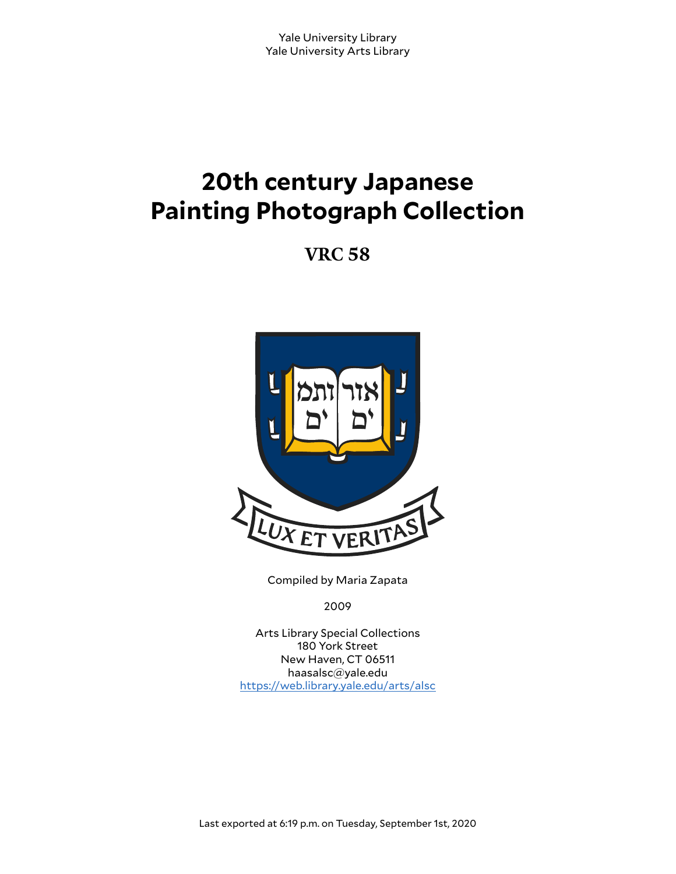# **20th century Japanese Painting Photograph Collection**

**VRC 58**



Compiled by Maria Zapata

2009

Arts Library Special Collections 180 York Street New Haven, CT 06511 haasalsc@yale.edu <https://web.library.yale.edu/arts/alsc>

Last exported at 6:19 p.m. on Tuesday, September 1st, 2020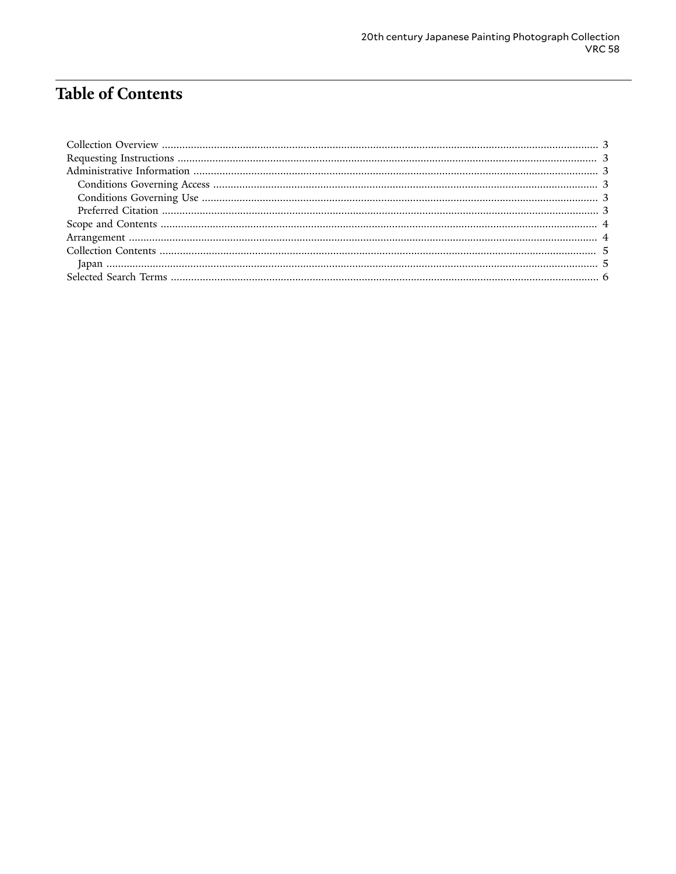## **Table of Contents**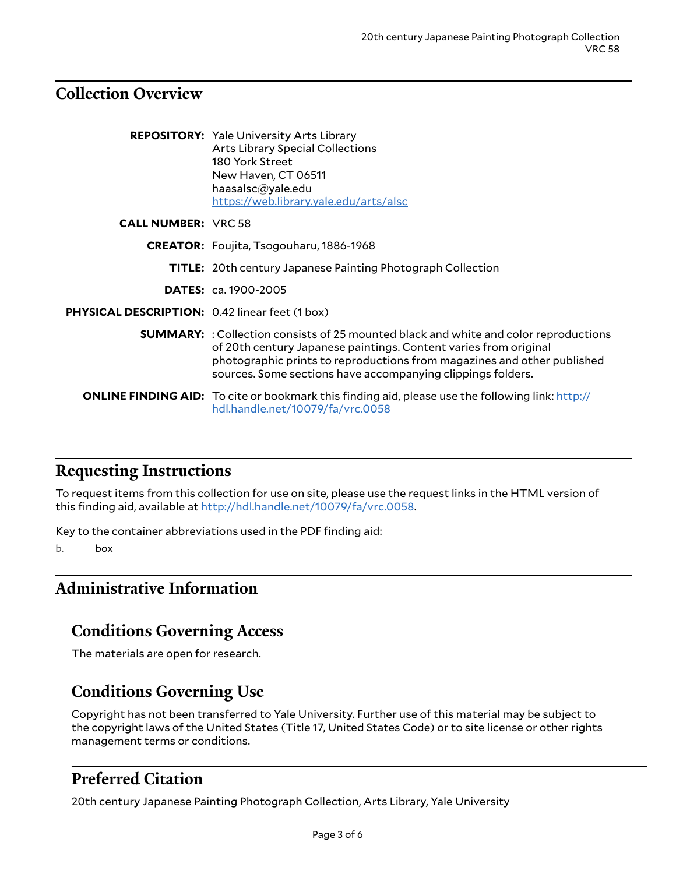## <span id="page-2-0"></span>**Collection Overview**

|                                                       | <b>REPOSITORY:</b> Yale University Arts Library<br><b>Arts Library Special Collections</b><br>180 York Street<br>New Haven, CT 06511<br>haasalsc@yale.edu<br>https://web.library.yale.edu/arts/alsc                                                                                                       |
|-------------------------------------------------------|-----------------------------------------------------------------------------------------------------------------------------------------------------------------------------------------------------------------------------------------------------------------------------------------------------------|
| <b>CALL NUMBER: VRC 58</b>                            |                                                                                                                                                                                                                                                                                                           |
|                                                       | CREATOR: Foujita, Tsogouharu, 1886-1968                                                                                                                                                                                                                                                                   |
|                                                       | <b>TITLE:</b> 20th century Japanese Painting Photograph Collection                                                                                                                                                                                                                                        |
|                                                       | <b>DATES:</b> ca. 1900-2005                                                                                                                                                                                                                                                                               |
| <b>PHYSICAL DESCRIPTION: 0.42 linear feet (1 box)</b> |                                                                                                                                                                                                                                                                                                           |
|                                                       | <b>SUMMARY:</b> : Collection consists of 25 mounted black and white and color reproductions<br>of 20th century Japanese paintings. Content varies from original<br>photographic prints to reproductions from magazines and other published<br>sources. Some sections have accompanying clippings folders. |
|                                                       | <b>ONLINE FINDING AID:</b> To cite or bookmark this finding aid, please use the following link: http://<br>hdl.handle.net/10079/fa/vrc.0058                                                                                                                                                               |

## <span id="page-2-1"></span>**Requesting Instructions**

To request items from this collection for use on site, please use the request links in the HTML version of this finding aid, available at <http://hdl.handle.net/10079/fa/vrc.0058>.

Key to the container abbreviations used in the PDF finding aid:

b. box

## <span id="page-2-2"></span>**Administrative Information**

## <span id="page-2-3"></span>**Conditions Governing Access**

The materials are open for research.

## <span id="page-2-4"></span>**Conditions Governing Use**

Copyright has not been transferred to Yale University. Further use of this material may be subject to the copyright laws of the United States (Title 17, United States Code) or to site license or other rights management terms or conditions.

## <span id="page-2-5"></span>**Preferred Citation**

20th century Japanese Painting Photograph Collection, Arts Library, Yale University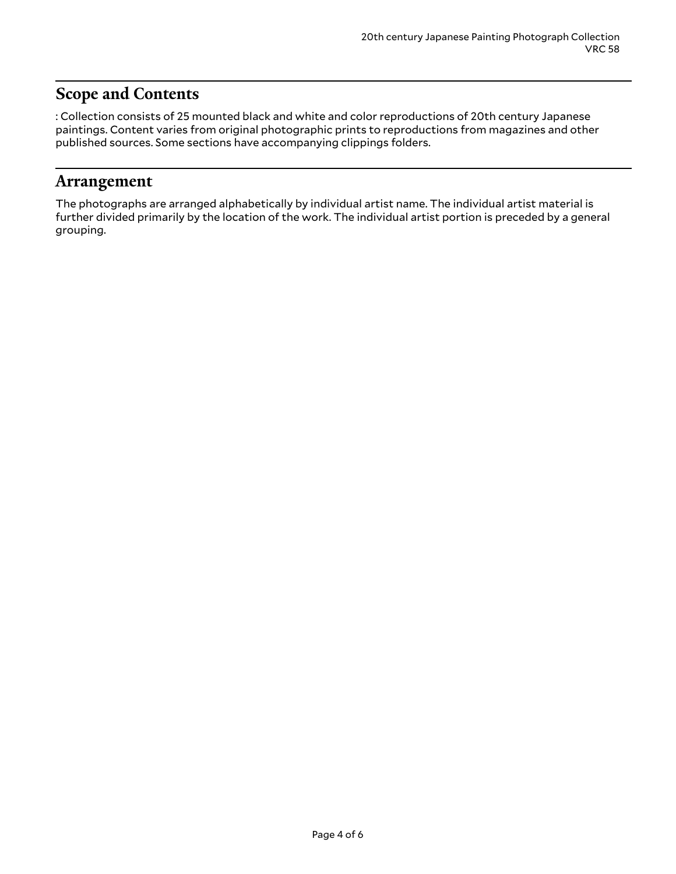## <span id="page-3-0"></span>**Scope and Contents**

: Collection consists of 25 mounted black and white and color reproductions of 20th century Japanese paintings. Content varies from original photographic prints to reproductions from magazines and other published sources. Some sections have accompanying clippings folders.

#### <span id="page-3-1"></span>**Arrangement**

The photographs are arranged alphabetically by individual artist name. The individual artist material is further divided primarily by the location of the work. The individual artist portion is preceded by a general grouping.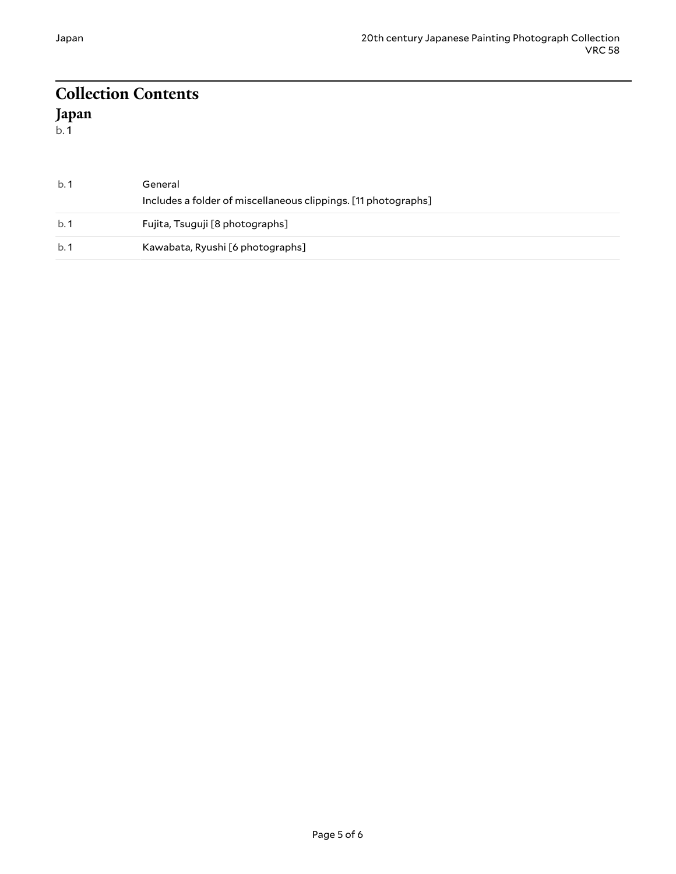#### <span id="page-4-1"></span><span id="page-4-0"></span>**Collection Contents Japan**  $b.\overline{1}$

b. 1 General Includes a folder of miscellaneous clippings. [11 photographs] b. 1 Fujita, Tsuguji [8 photographs] b. 1 Kawabata, Ryushi [6 photographs]